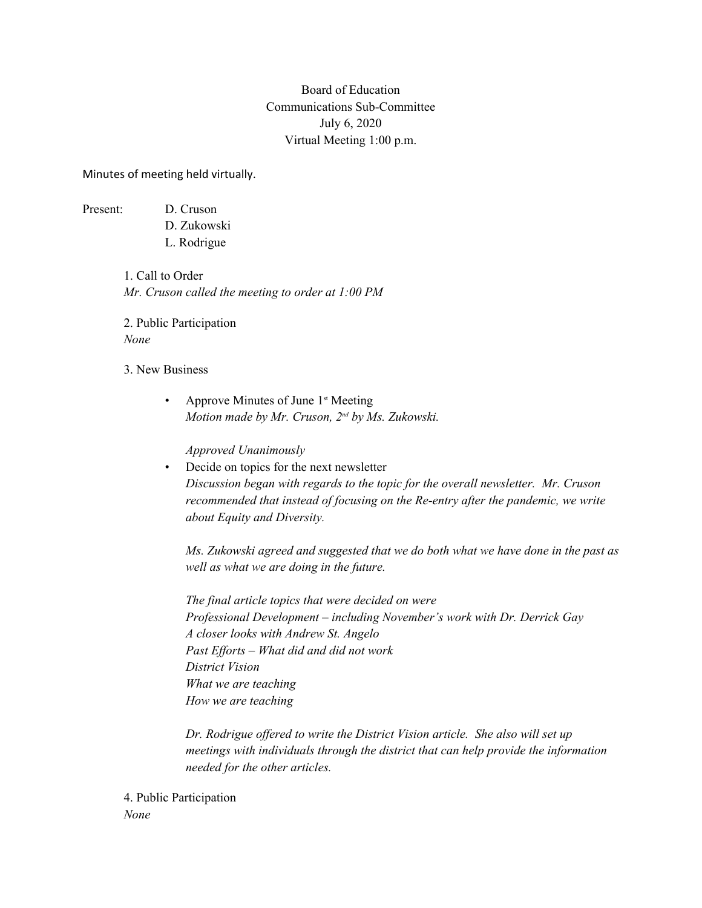## Board of Education Communications Sub-Committee July 6, 2020 Virtual Meeting 1:00 p.m.

Minutes of meeting held virtually.

Present: D. Cruson

- 
- D. Zukowski L. Rodrigue

1. Call to Order *Mr. Cruson called the meeting to order at 1:00 PM*

2. Public Participation *None*

- 3. New Business
	- Approve Minutes of June 1<sup>st</sup> Meeting *Motion made by Mr. Cruson, 2nd by Ms. Zukowski.*

*Approved Unanimously*

• Decide on topics for the next newsletter *Discussion began with regards to the topic for the overall newsletter. Mr. Cruson recommended that instead of focusing on the Re-entry after the pandemic, we write about Equity and Diversity.* 

*Ms. Zukowski agreed and suggested that we do both what we have done in the past as well as what we are doing in the future.*

*The final article topics that were decided on were Professional Development – including November's work with Dr. Derrick Gay A closer looks with Andrew St. Angelo Past Efforts – What did and did not work District Vision What we are teaching How we are teaching*

*Dr. Rodrigue offered to write the District Vision article. She also will set up meetings with individuals through the district that can help provide the information needed for the other articles.* 

4. Public Participation *None*